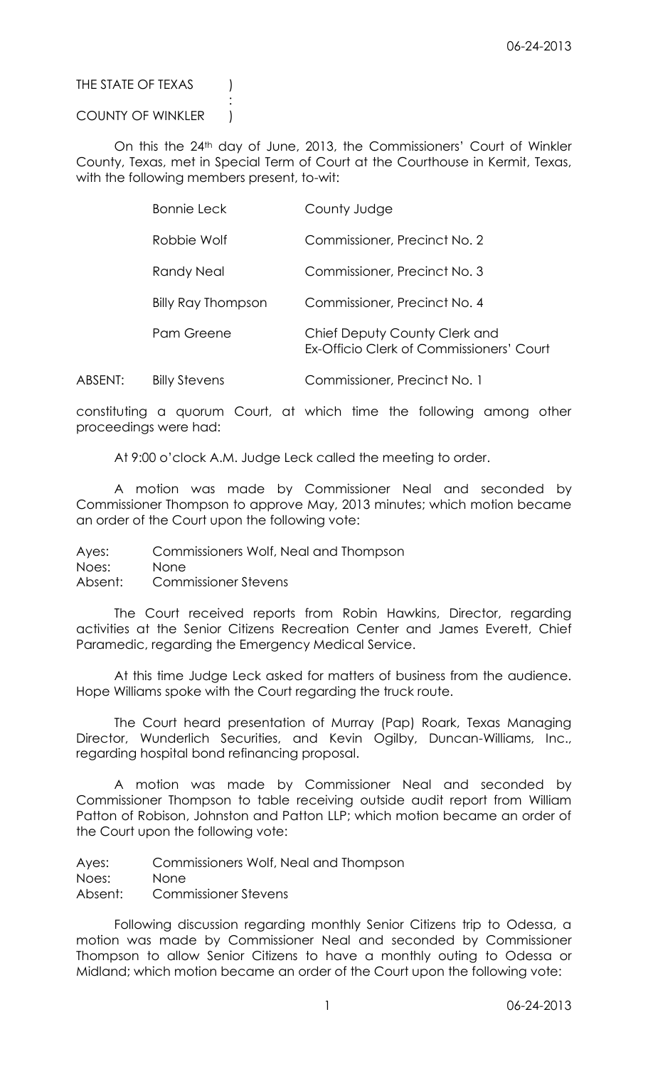THE STATE OF TEXAS (

## COUNTY OF WINKLER )

:

On this the 24<sup>th</sup> day of June, 2013, the Commissioners' Court of Winkler County, Texas, met in Special Term of Court at the Courthouse in Kermit, Texas, with the following members present, to-wit:

| <b>Bonnie Leck</b>        | County Judge                                                              |
|---------------------------|---------------------------------------------------------------------------|
| Robbie Wolf               | Commissioner, Precinct No. 2                                              |
| Randy Neal                | Commissioner, Precinct No. 3                                              |
| <b>Billy Ray Thompson</b> | Commissioner, Precinct No. 4                                              |
| Pam Greene                | Chief Deputy County Clerk and<br>Ex-Officio Clerk of Commissioners' Court |
|                           |                                                                           |

ABSENT: Billy Stevens Commissioner, Precinct No. 1

constituting a quorum Court, at which time the following among other proceedings were had:

At 9:00 o'clock A.M. Judge Leck called the meeting to order.

A motion was made by Commissioner Neal and seconded by Commissioner Thompson to approve May, 2013 minutes; which motion became an order of the Court upon the following vote:

Ayes: Commissioners Wolf, Neal and Thompson

Noes: None

Absent: Commissioner Stevens

The Court received reports from Robin Hawkins, Director, regarding activities at the Senior Citizens Recreation Center and James Everett, Chief Paramedic, regarding the Emergency Medical Service.

At this time Judge Leck asked for matters of business from the audience. Hope Williams spoke with the Court regarding the truck route.

The Court heard presentation of Murray (Pap) Roark, Texas Managing Director, Wunderlich Securities, and Kevin Ogilby, Duncan-Williams, Inc., regarding hospital bond refinancing proposal.

A motion was made by Commissioner Neal and seconded by Commissioner Thompson to table receiving outside audit report from William Patton of Robison, Johnston and Patton LLP; which motion became an order of the Court upon the following vote:

Ayes: Commissioners Wolf, Neal and Thompson Noes: None Absent: Commissioner Stevens

Following discussion regarding monthly Senior Citizens trip to Odessa, a motion was made by Commissioner Neal and seconded by Commissioner Thompson to allow Senior Citizens to have a monthly outing to Odessa or Midland; which motion became an order of the Court upon the following vote: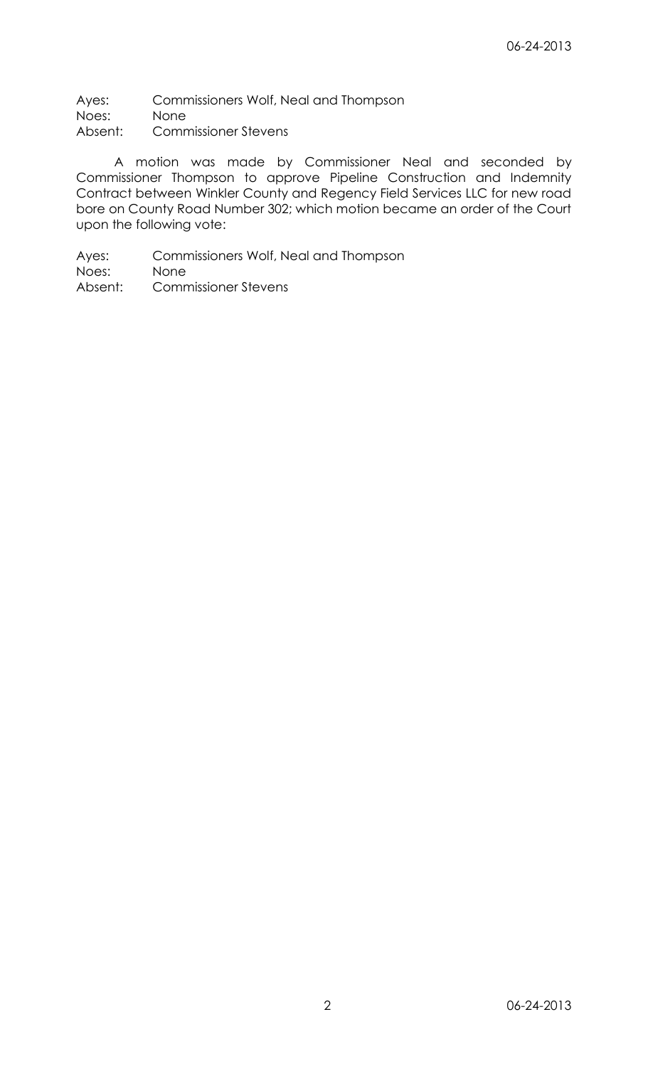Ayes: Commissioners Wolf, Neal and Thompson Noes: None Absent: Commissioner Stevens

A motion was made by Commissioner Neal and seconded by Commissioner Thompson to approve Pipeline Construction and Indemnity Contract between Winkler County and Regency Field Services LLC for new road bore on County Road Number 302; which motion became an order of the Court upon the following vote: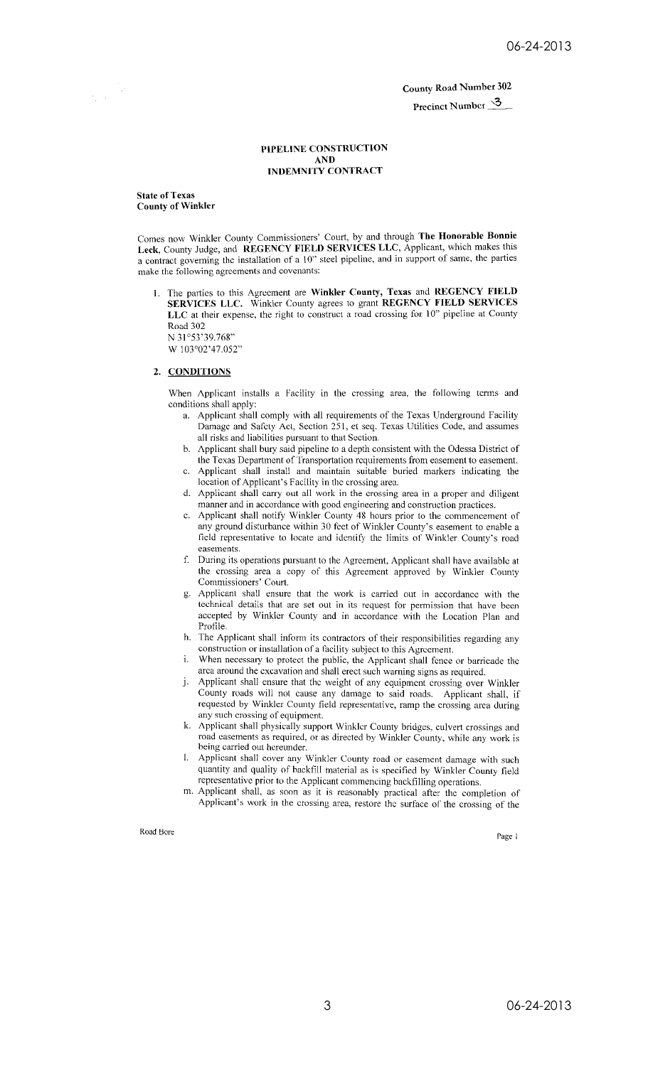Precinct Number 3

## PIPELINE CONSTRUCTION  $\bf AND$ **INDEMNITY CONTRACT**

**State of Texas County of Winkler** 

 $\frac{1}{2} \left( \frac{1}{2} \right)$ 

Comes now Winkler County Commissioners' Court, by and through The Honorable Bonnie Leck, County Judge, and REGENCY FIELD SERVICES LLC, Applicant, which makes this a contract governing the installation of a 10" steel pipeline, and in support of same, the parties make the following agreements and covenants:

1. The parties to this Agreement are Winkler County, Texas and REGENCY FIELD SERVICES LLC. Winkler County agrees to grant REGENCY FIELD SERVICES LLC at their expense, the right to construct a road crossing for 10" pipeline at County Road 302 N 31°53'39.768"

W 103°02'47.052"

## 2. CONDITIONS

When Applicant installs a Facility in the crossing area, the following terms and conditions shall apply:

- a. Applicant shall comply with all requirements of the Texas Underground Facility Damage and Safety Act, Section 251, et seq. Texas Utilities Code, and assumes all risks and liabilities pursuant to that Section.
- b. Applicant shall bury said pipeline to a depth consistent with the Odessa District of the Texas Department of Transportation requirements from easement to easement.
- c. Applicant shall install and maintain suitable buried markers indicating the location of Applicant's Facility in the crossing area.
- d. Applicant shall carry out all work in the crossing area in a proper and diligent manner and in accordance with good engineering and construction practices.
- e. Applicant shall notify Winkler County 48 hours prior to the commencement of any ground disturbance within 30 feet of Winkler County's easement to enable a field representative to locate and identify the limits of Winkler County's road easements.
- f. During its operations pursuant to the Agreement, Applicant shall have available at the crossing area a copy of this Agreement approved by Winkler County Commissioners' Court.
- Applicant shall ensure that the work is carried out in accordance with the g. technical details that are set out in its request for permission that have been accepted by Winkler County and in accordance with the Location Plan and Profile.
- h. The Applicant shall inform its contractors of their responsibilities regarding any construction or installation of a facility subject to this Agreement.
- When necessary to protect the public, the Applicant shall fence or barricade the i. area around the excavation and shall erect such warning signs as required.
- j. Applicant shall ensure that the weight of any equipment crossing over Winkler County roads will not cause any damage to said roads. Applicant shall, if requested by Winkler County field representative, ramp the crossing area during any such crossing of equipment.
- k. Applicant shall physically support Winkler County bridges, culvert crossings and road easements as required, or as directed by Winkler County, while any work is being carried out hereunder.
- 1. Applicant shall cover any Winkler County road or easement damage with such quantity and quality of backfill material as is specified by Winkler County field representative prior to the Applicant commencing backfilling operations.
- m. Applicant shall, as soon as it is reasonably practical after the completion of Applicant's work in the crossing area, restore the surface of the crossing of the

Road Bore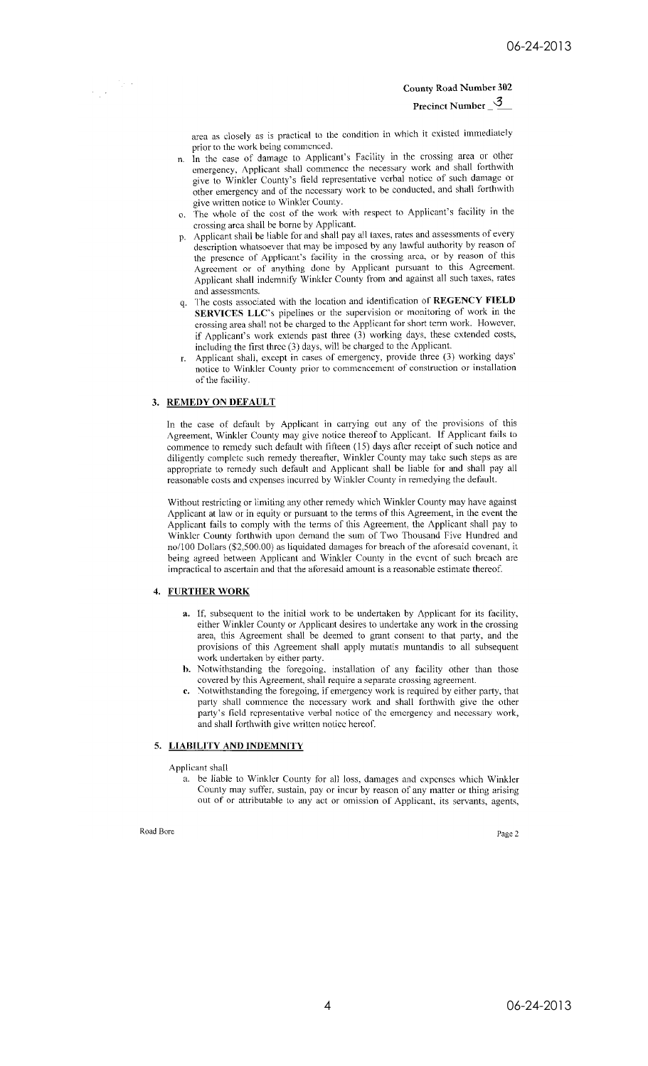Precinct Number  $\frac{3}{2}$ 

area as closely as is practical to the condition in which it existed immediately prior to the work being commenced.

- In the case of damage to Applicant's Facility in the crossing area or other n. emergency, Applicant shall commence the necessary work and shall forthwith give to Winkler County's field representative verbal notice of such damage or other emergency and of the necessary work to be conducted, and shall forthwith give written notice to Winkler County.
- The whole of the cost of the work with respect to Applicant's facility in the  $O<sub>1</sub>$ crossing area shall be borne by Applicant.
- p. Applicant shall be liable for and shall pay all taxes, rates and assessments of every description whatsoever that may be imposed by any lawful authority by reason of the presence of Applicant's facility in the crossing area, or by reason of this Agreement or of anything done by Applicant pursuant to this Agreement.<br>Applicant shall indemnify Winkler County from and against all such taxes, rates and assessments.
- The costs associated with the location and identification of REGENCY FIELD q. SERVICES LLC's pipelines or the supervision or monitoring of work in the crossing area shall not be charged to the Applicant for short term work. However, if Applicant's work extends past three (3) working days, these extended costs, including the first three (3) days, will be charged to the Applicant.
- Applicant shall, except in cases of emergency, provide three (3) working days' notice to Winkler County prior to commencement of construction or installation of the facility.

## 3. REMEDY ON DEFAULT

 $\frac{1}{\sum_{i=1}^{n} \sum_{j=1}^{n} \sum_{j=1}^{n} \sum_{j=1}^{n} \sum_{j=1}^{n} \sum_{j=1}^{n} \sum_{j=1}^{n} \sum_{j=1}^{n} \sum_{j=1}^{n} \sum_{j=1}^{n} \sum_{j=1}^{n} \sum_{j=1}^{n} \sum_{j=1}^{n} \sum_{j=1}^{n} \sum_{j=1}^{n} \sum_{j=1}^{n} \sum_{j=1}^{n} \sum_{j=1}^{n} \sum_{j=1}^{n} \sum_{j=1}^{n} \sum_{j=1}^{n} \sum_{j=$ 

In the case of default by Applicant in carrying out any of the provisions of this Agreement, Winkler County may give notice thereof to Applicant. If Applicant fails to commence to remedy such default with fifteen (15) days after receipt of such notice and diligently complete such remedy thereafter, Winkler County may take such steps as are appropriate to remedy such default and Applicant shall be liable for and shall pay all reasonable costs and expenses incurred by Winkler County in remedying the default.

Without restricting or limiting any other remedy which Winkler County may have against Applicant at law or in equity or pursuant to the terms of this Agreement, in the event the Applicant fails to comply with the terms of this Agreement, the Applicant shall pay to Winkler County forthwith upon demand the sum of Two Thousand Five Hundred and no/100 Dollars (\$2,500.00) as liquidated damages for breach of the aforesaid covenant, it being agreed between Applicant and Winkler County in the event of such breach are impractical to ascertain and that the aforesaid amount is a reasonable estimate thereof.

#### 4. FURTHER WORK

- a. If, subsequent to the initial work to be undertaken by Applicant for its facility, either Winkler County or Applicant desires to undertake any work in the crossing area, this Agreement shall be deemed to grant consent to that party, and the provisions of this Agreement shall apply mutatis muntandis to all subsequent work undertaken by either party.
- **b.** Notwithstanding the foregoing, installation of any facility other than those covered by this Agreement, shall require a separate crossing agreement.
- c. Notwithstanding the foregoing, if emergency work is required by either party, that<br>party shall commence the necessary work and shall forthwith give the other party's field representative verbal notice of the emergency and necessary work, and shall forthwith give written notice hereof.

## 5. LIABILITY AND INDEMNITY

Applicant shall

a. be liable to Winkler County for all loss, damages and expenses which Winkler County may suffer, sustain, pay or incur by reason of any matter or thing arising out of or attributable to any act or omission of Applicant, its servants, agents,

## Road Bore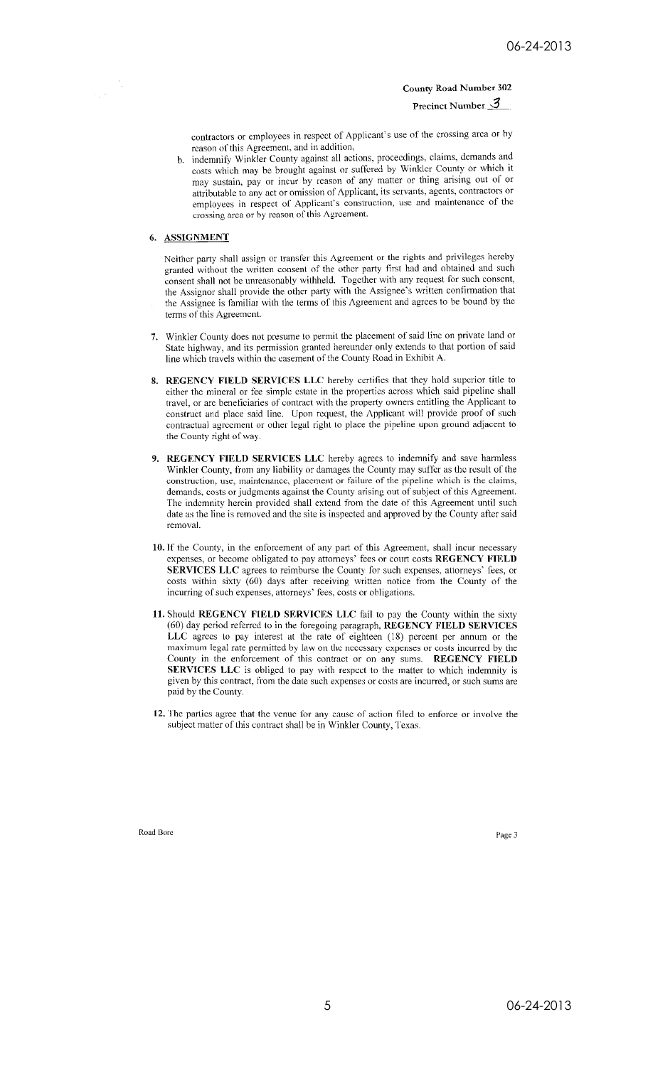Precinct Number  $3$ 

contractors or employees in respect of Applicant's use of the crossing area or by reason of this Agreement, and in addition,

b. indemnify Winkler County against all actions, proceedings, claims, demands and costs which may be brought against or suffered by Winkler County or which it may sustain, pay or incur by reason of any matter or thing arising out of or attributable to any act or omission of Applicant, its servants, agents, contractors or employees in respect of Applicant's construction, use and maintenance of the crossing area or by reason of this Agreement.

## 6. ASSIGNMENT

 $\frac{1}{2}$  ,  $\frac{1}{2}$ 

Neither party shall assign or transfer this Agreement or the rights and privileges hereby granted without the written consent of the other party first had and obtained and such consent shall not be unreasonably withheld. Together with any request for such consent, the Assignor shall provide the other party with the Assignee's written confirmation that the Assignee is familiar with the terms of this Agreement and agrees to be bound by the terms of this Agreement.

- 7. Winkler County does not presume to permit the placement of said line on private land or State highway, and its permission granted hereunder only extends to that portion of said line which travels within the easement of the County Road in Exhibit A.
- 8. REGENCY FIELD SERVICES LLC hereby certifies that they hold superior title to either the mineral or fee simple estate in the properties across which said pipeline shall travel, or are beneficiaries of contract with the property owners entitling the Applicant to construct and place said line. Upon request, the Applicant will provide proof of such contractual agreement or other legal right to place the pipeline upon ground adjacent to the County right of way.
- 9. REGENCY FIELD SERVICES LLC hereby agrees to indemnify and save harmless Winkler County, from any liability or damages the County may suffer as the result of the construction, use, maintenance, placement or failure of the pipeline which is the claims, demands, costs or judgments against the County arising out of subject of this Agreement. The indemnity herein provided shall extend from the date of this Agreement until such date as the line is removed and the site is inspected and approved by the County after said removal.
- 10. If the County, in the enforcement of any part of this Agreement, shall incur necessary expenses, or become obligated to pay attorneys' fees or court costs REGENCY FIELD SERVICES LLC agrees to reimburse the County for such expenses, attorneys' fees, or costs within sixty (60) days after receiving written notice from the County of the incurring of such expenses, attorneys' fees, costs or obligations.
- 11. Should REGENCY FIELD SERVICES LLC fail to pay the County within the sixty (60) day period referred to in the foregoing paragraph, REGENCY FIELD SERVICES LLC agrees to pay interest at the rate of eighteen (18) percent per annum or the maximum legal rate permitted by law on the necessary expenses or costs incurred by the County in the enforcement of this contract or on any sums. REGENCY FIELD SERVICES LLC is obliged to pay with respect to the matter to which indemnity is given by this contract, from the date such expenses or costs are incurred, or such sums are paid by the County.
- 12. The parties agree that the venue for any cause of action filed to enforce or involve the subject matter of this contract shall be in Winkler County, Texas.

Road Bore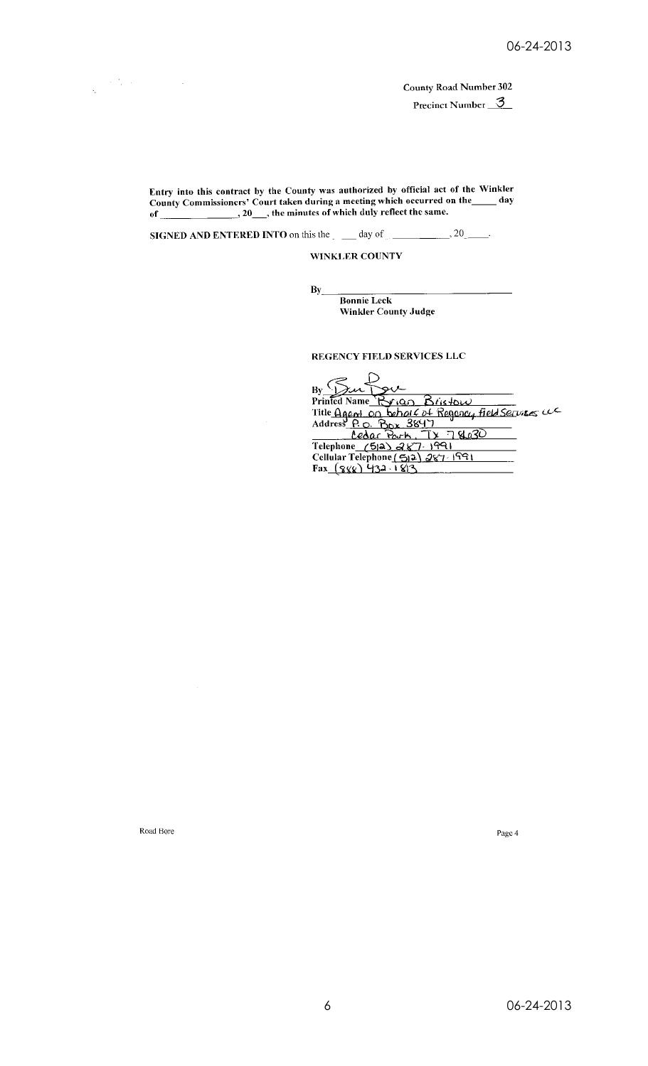Precinct Number 3

Entry into this contract by the County was authorized by official act of the Winkler<br>County Commissioners' Court taken during a meeting which occurred on the  $\_\_\_\_$  day<br>of  $\_\_\_\_\_$ , 20, the minutes of which duly reflect

**SIGNED AND ENTERED INTO on this the**  $\qquad$  **day of**  $\qquad$  **20.** 

WINKLER COUNTY

 $\mathbf{B}\mathbf{y}$ 

**Bonnie Leck** Winkler County Judge

REGENCY FIELD SERVICES LLC

By Sur Prior Briston<br>Printed Name Brigan Briston<br>Title Agent on behalf of Regency field Services We<br>Address P.O. Box 3847<br>Celephone (512) 287-1991<br>Cellular Telephone (512) 287-1991<br>Fax (888) 432-1813

Road Bore

 $\label{eq:2} \mathcal{L}^{\mathcal{A}}(\mathcal{A})=\mathcal{L}^{\mathcal{A}}(\mathcal{A})=\mathcal{L}^{\mathcal{A}}(\mathcal{A})=\mathcal{L}^{\mathcal{A}}(\mathcal{A})$ 

 $\frac{1}{2}$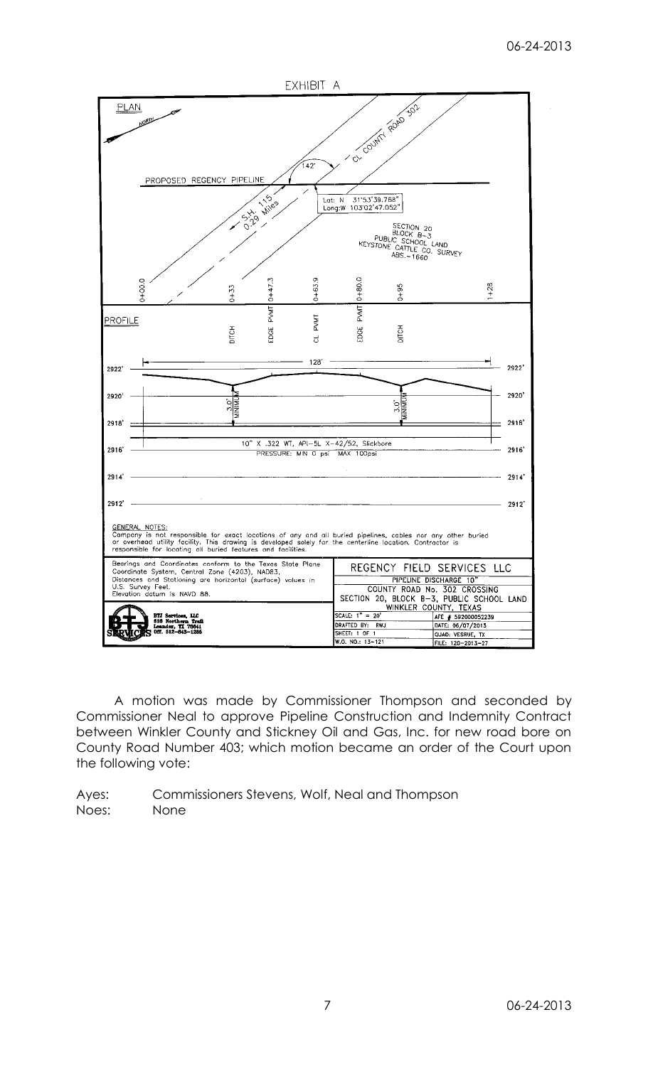

A motion was made by Commissioner Thompson and seconded by Commissioner Neal to approve Pipeline Construction and Indemnity Contract between Winkler County and Stickney Oil and Gas, Inc. for new road bore on County Road Number 403; which motion became an order of the Court upon the following vote:

Ayes: Commissioners Stevens, Wolf, Neal and Thompson Noes: None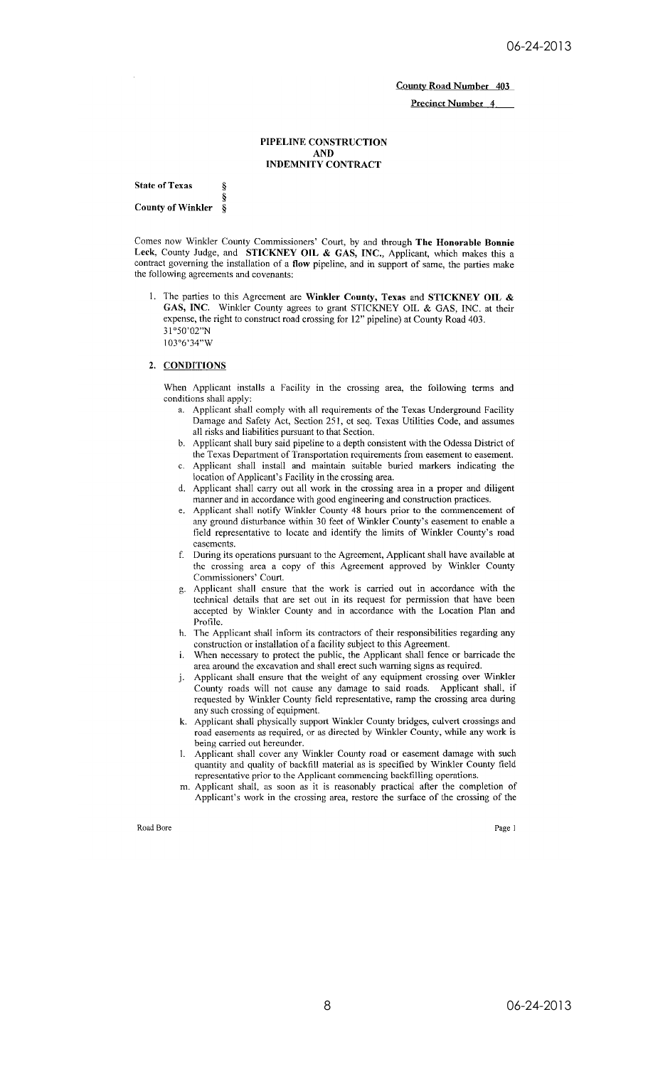**Precinct Number 4** 

#### PIPELINE CONSTRUCTION **AND INDEMNITY CONTRACT**

**State of Texas** ş **County of Winkler** 8

Comes now Winkler County Commissioners' Court, by and through The Honorable Bonnie Leck, County Judge, and STICKNEY OIL & GAS, INC., Applicant, which makes this a contract governing the installation of a flow pipeline, and in support of same, the parties make the following agreements and covenants:

1. The parties to this Agreement are Winkler County, Texas and STICKNEY OIL & GAS, INC. Winkler County agrees to grant STICKNEY OIL & GAS, INC. at their expense, the right to construct road crossing for 12" pipeline) at County Road 403. 31°50'02"N 103°6'34"W

### 2. CONDITIONS

When Applicant installs a Facility in the crossing area, the following terms and conditions shall apply:

- Applicant shall comply with all requirements of the Texas Underground Facility a. Damage and Safety Act, Section 251, et seq. Texas Utilities Code, and assumes all risks and liabilities pursuant to that Section.
- b. Applicant shall bury said pipeline to a depth consistent with the Odessa District of the Texas Department of Transportation requirements from easement to easement.
- c. Applicant shall install and maintain suitable buried markers indicating the location of Applicant's Facility in the crossing area.
- d. Applicant shall carry out all work in the crossing area in a proper and diligent manner and in accordance with good engineering and construction practices.
- e. Applicant shall notify Winkler County 48 hours prior to the commencement of any ground disturbance within 30 feet of Winkler County's easement to enable a field representative to locate and identify the limits of Winkler County's road casements.
- f. During its operations pursuant to the Agreement, Applicant shall have available at the crossing area a copy of this Agreement approved by Winkler County Commissioners' Court.
- Applicant shall ensure that the work is carried out in accordance with the g. technical details that are set out in its request for permission that have been accepted by Winkler County and in accordance with the Location Plan and Profile.
- h. The Applicant shall inform its contractors of their responsibilities regarding any construction or installation of a facility subject to this Agreement.
- When necessary to protect the public, the Applicant shall fence or barricade the i. area around the excavation and shall erect such warning signs as required.
- Applicant shall ensure that the weight of any equipment crossing over Winkler j. County roads will not cause any damage to said roads. Applicant shall, if requested by Winkler County field representative, ramp the crossing area during any such crossing of equipment.
- k. Applicant shall physically support Winkler County bridges, culvert crossings and road easements as required, or as directed by Winkler County, while any work is being carried out hereunder.
- Applicant shall cover any Winkler County road or easement damage with such 1. quantity and quality of backfill material as is specified by Winkler County field representative prior to the Applicant commencing backfilling operations.
- m. Applicant shall, as soon as it is reasonably practical after the completion of Applicant's work in the crossing area, restore the surface of the crossing of the

Road Bore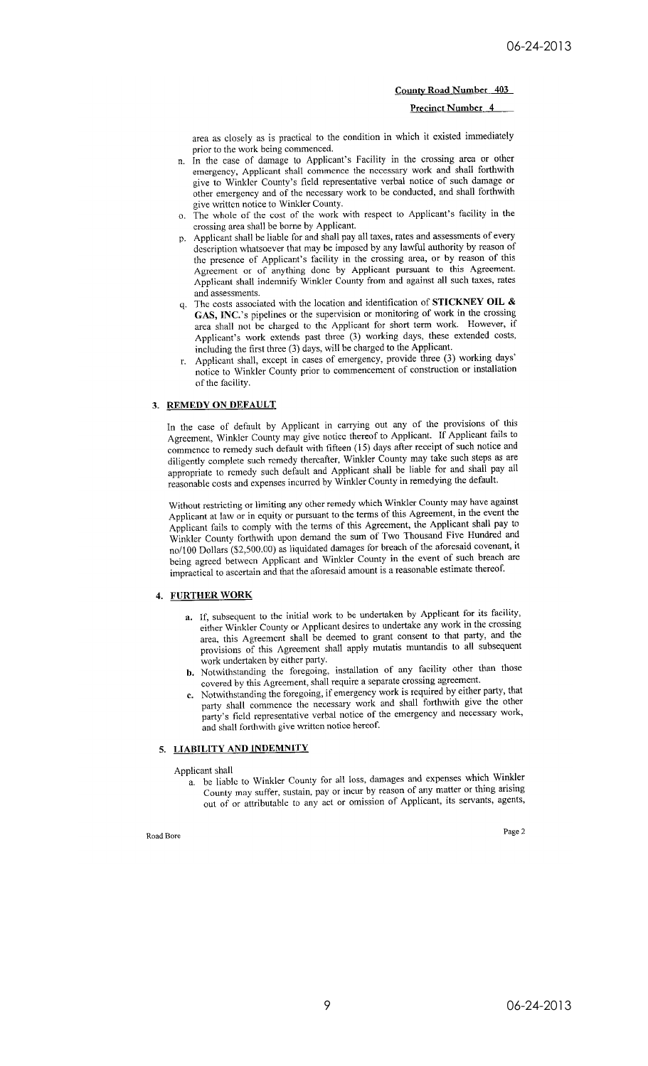**Precinct Number 4** 

area as closely as is practical to the condition in which it existed immediately prior to the work being commenced.

- n. In the case of damage to Applicant's Facility in the crossing area or other emergency, Applicant shall commence the necessary work and shall forthwith give to Winkler County's field representative verbal notice of such damage or other emergency and of the necessary work to be conducted, and shall forthwith give written notice to Winkler County.
- o. The whole of the cost of the work with respect to Applicant's facility in the crossing area shall be borne by Applicant.
- p. Applicant shall be liable for and shall pay all taxes, rates and assessments of every description whatsoever that may be imposed by any lawful authority by reason of the presence of Applicant's facility in the crossing area, or by reason of this Agreement or of anything done by Applicant pursuant to this Agreement. Applicant shall indemnify Winkler County from and against all such taxes, rates and assessments.
- The costs associated with the location and identification of STICKNEY OIL & GAS, INC.'s pipelines or the supervision or monitoring of work in the crossing area shall not be charged to the Applicant for short term work. However, if Applicant's work extends past three (3) working days, these extended costs, including the first three (3) days, will be charged to the Applicant.
- Applicant shall, except in cases of emergency, provide three (3) working days' notice to Winkler County prior to commencement of construction or installation of the facility.

## 3. REMEDY ON DEFAULT

In the case of default by Applicant in carrying out any of the provisions of this Agreement, Winkler County may give notice thereof to Applicant. If Applicant fails to commence to remedy such default with fifteen (15) days after receipt of such notice and diligently complete such remedy thereafter, Winkler County may take such steps as are appropriate to remedy such default and Applicant shall be liable for and shall pay all reasonable costs and expenses incurred by Winkler County in remedying the default.

Without restricting or limiting any other remedy which Winkler County may have against Applicant at law or in equity or pursuant to the terms of this Agreement, in the event the Applicant fails to comply with the terms of this Agreement, the Applicant shall pay to Winkler County forthwith upon demand the sum of Two Thousand Five Hundred and no/100 Dollars (\$2,500.00) as liquidated damages for breach of the aforesaid covenant, it being agreed between Applicant and Winkler County in the event of such breach are impractical to ascertain and that the aforesaid amount is a reasonable estimate thereof.

## 4. FURTHER WORK

- a. If, subsequent to the initial work to be undertaken by Applicant for its facility, either Winkler County or Applicant desires to undertake any work in the crossing area, this Agreement shall be deemed to grant consent to that party, and the provisions of this Agreement shall apply mutatis muntandis to all subsequent work undertaken by either party.
- b. Notwithstanding the foregoing, installation of any facility other than those covered by this Agreement, shall require a separate crossing agreement.
- c. Notwithstanding the foregoing, if emergency work is required by either party, that party shall commence the necessary work and shall forthwith give the other party's field representative verbal notice of the emergency and necessary work, and shall forthwith give written notice hereof.

## 5. LIABILITY AND INDEMNITY

Applicant shall

a. be liable to Winkler County for all loss, damages and expenses which Winkler County may suffer, sustain, pay or incur by reason of any matter or thing arising out of or attributable to any act or omission of Applicant, its servants, agents,

## Road Bore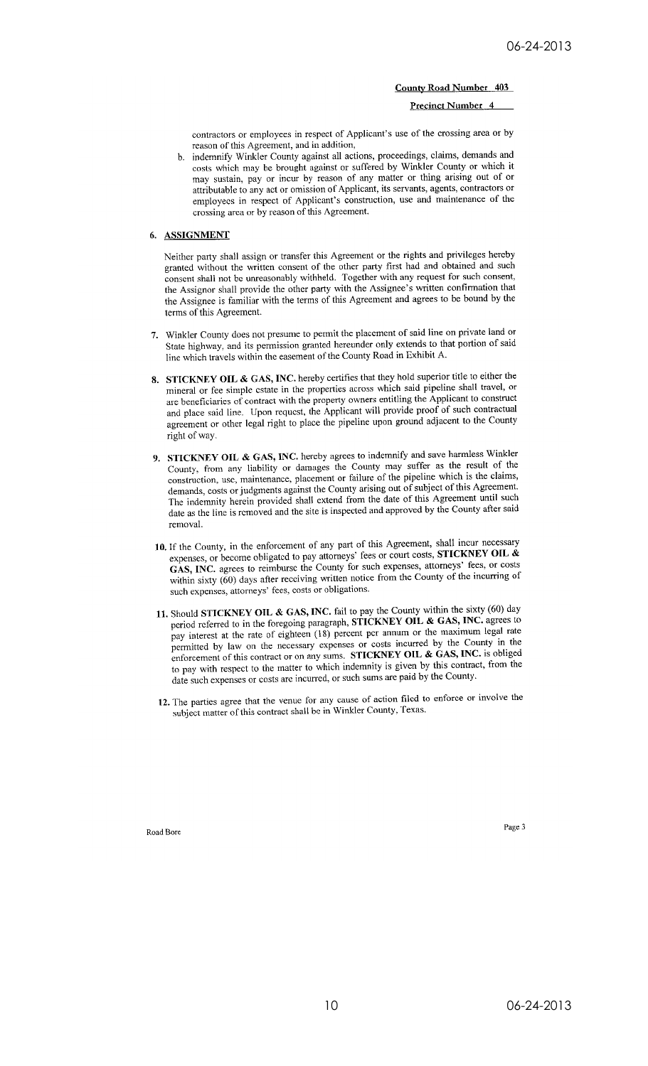Precinct Number 4

contractors or employees in respect of Applicant's use of the crossing area or by reason of this Agreement, and in addition,

b. indemnify Winkler County against all actions, proceedings, claims, demands and costs which may be brought against or suffered by Winkler County or which it may sustain, pay or incur by reason of any matter or thing arising out of or attributable to any act or omission of Applicant, its servants, agents, contractors or employees in respect of Applicant's construction, use and maintenance of the crossing area or by reason of this Agreement.

## 6. ASSIGNMENT

Neither party shall assign or transfer this Agreement or the rights and privileges hereby granted without the written consent of the other party first had and obtained and such consent shall not be unreasonably withheld. Together with any request for such consent, the Assignor shall provide the other party with the Assignee's written confirmation that the Assignee is familiar with the terms of this Agreement and agrees to be bound by the terms of this Agreement.

- 7. Winkler County does not presume to permit the placement of said line on private land or State highway, and its permission granted hereunder only extends to that portion of said line which travels within the easement of the County Road in Exhibit A.
- 8. STICKNEY OIL & GAS, INC. hereby certifies that they hold superior title to either the mineral or fee simple estate in the properties across which said pipeline shall travel, or are beneficiaries of contract with the property owners entitling the Applicant to construct and place said line. Upon request, the Applicant will provide proof of such contractual agreement or other legal right to place the pipeline upon ground adjacent to the County right of way.
- 9. STICKNEY OIL & GAS, INC. hereby agrees to indemnify and save harmless Winkler County, from any liability or damages the County may suffer as the result of the construction, use, maintenance, placement or failure of the pipeline which is the claims, demands, costs or judgments against the County arising out of subject of this Agreement. The indemnity herein provided shall extend from the date of this Agreement until such date as the line is removed and the site is inspected and approved by the County after said removal.
- 10. If the County, in the enforcement of any part of this Agreement, shall incur necessary expenses, or become obligated to pay attorneys' fees or court costs, STICKNEY OIL & GAS, INC. agrees to reimburse the County for such expenses, attorneys' fees, or costs within sixty  $(60)$  days after receiving written notice from the County of the incurring of such expenses, attorneys' fees, costs or obligations.
- 11. Should STICKNEY OIL & GAS, INC. fail to pay the County within the sixty (60) day period referred to in the foregoing paragraph,  $\frac{\partial f}{\partial x}$  **EXNEY OIL & GAS, INC.** agrees to pay interest at the rate of eighteen (18) percent per annum or the maximum legal rate permitted by law on the necessary expenses or costs incurred by the County in the enforcement of this contract or on any sums. STICKNEY OIL & GAS, INC. is obliged to pay with respect to the matter to which indemnity is given by this contract, from the date such expenses or costs are incurred, or such sums are paid by the County.
- 12. The parties agree that the venue for any cause of action filed to enforce or involve the subject matter of this contract shall be in Winkler County, Texas.

Road Bore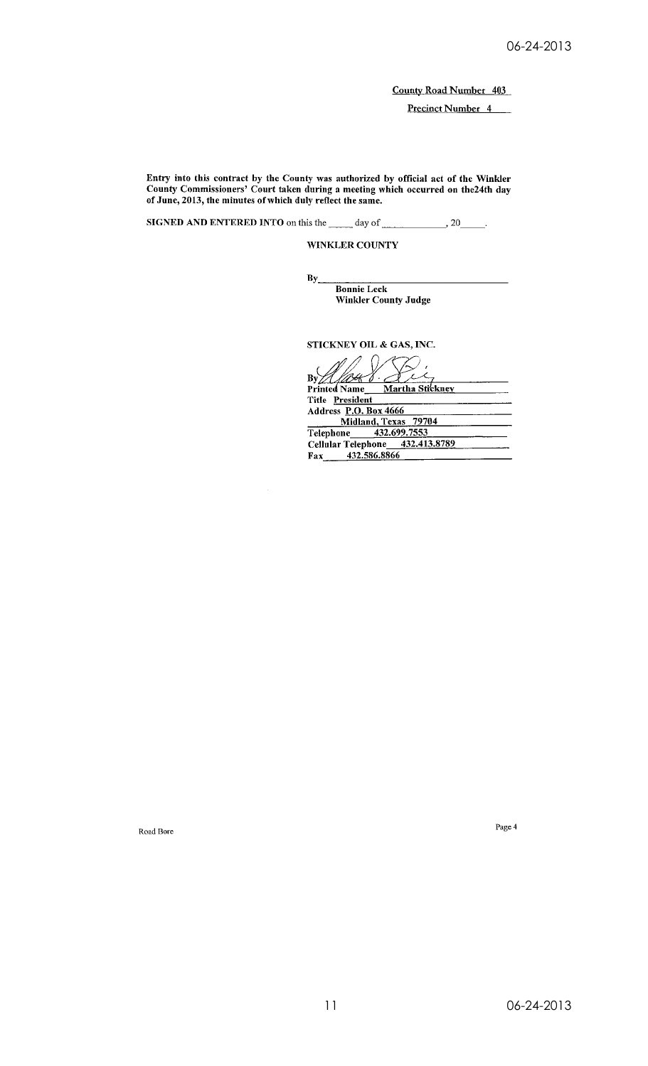Precinct Number 4

Entry into this contract by the County was authorized by official act of the Winkler County Commissioners' Court taken during a meeting which occurred on the 24th day of June, 2013, the minutes of which duly reflect the same.

SIGNED AND ENTERED INTO on this the \_\_\_\_\_ day of  $\rightarrow 20$  $\mathbb{R}^2$ 

 $\mathbf{By}$ 

WINKLER COUNTY

**Bonnie Leck** 

**Winkler County Judge** 

STICKNEY OIL & GAS, INC.

By Allett Ł Martha Stickney Title President Address P.O. Box 4666 Midland, Texas 79704<br>
Telephone 432.699.7553<br>
Cellular Telephone 432.413.8789 432.586.8866 Fax

Road Bore

Page  $4\,$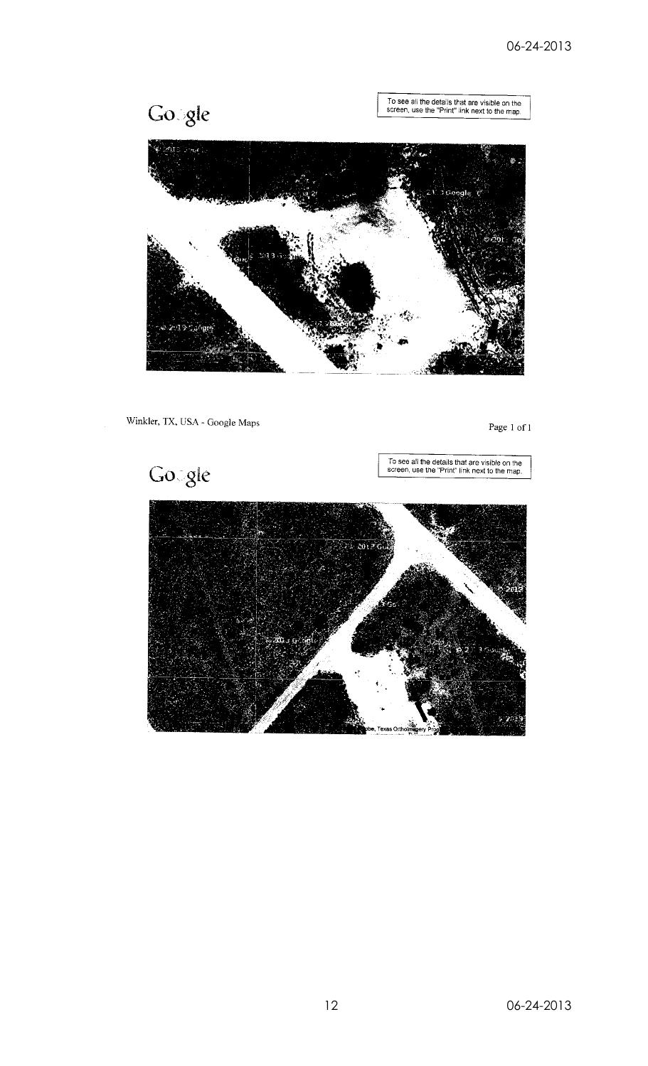Gosgle

To see all the details that are visible on the<br>screen, use the "Print" link next to the map.



Winkler, TX, USA - Google Maps

Page  $1$  of  $1$ 

Gogle

To see all the details that are visible on the<br>screen, use the "Print" link next to the map.

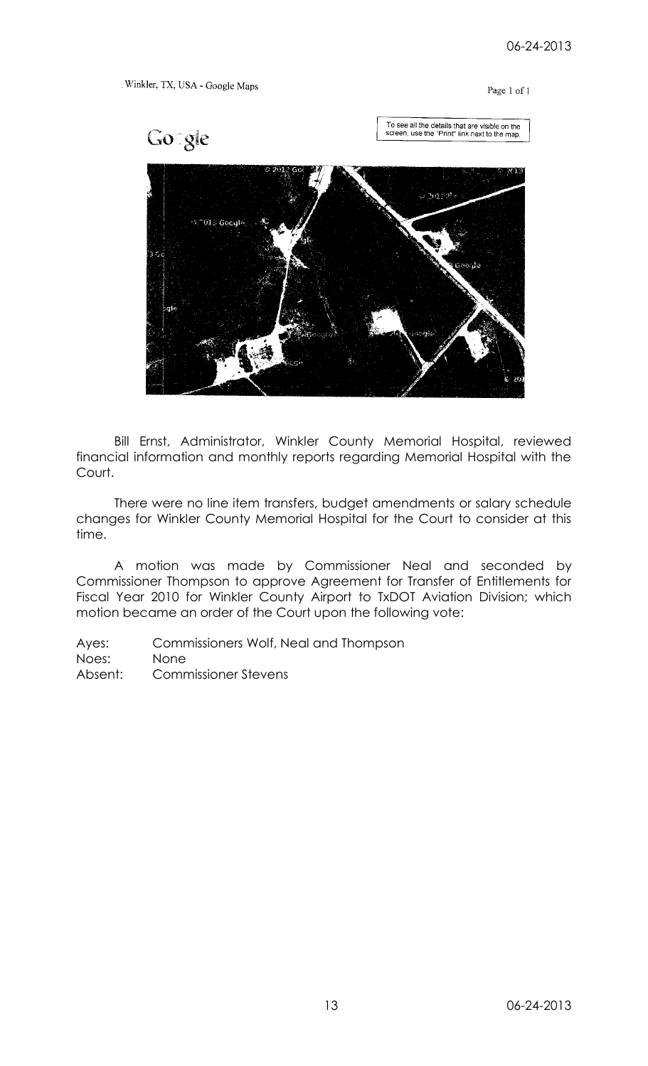## Winkler, TX, USA - Google Maps

## Page 1 of 1



Bill Ernst, Administrator, Winkler County Memorial Hospital, reviewed financial information and monthly reports regarding Memorial Hospital with the Court.

There were no line item transfers, budget amendments or salary schedule changes for Winkler County Memorial Hospital for the Court to consider at this time.

A motion was made by Commissioner Neal and seconded by Commissioner Thompson to approve Agreement for Transfer of Entitlements for Fiscal Year 2010 for Winkler County Airport to TxDOT Aviation Division; which motion became an order of the Court upon the following vote: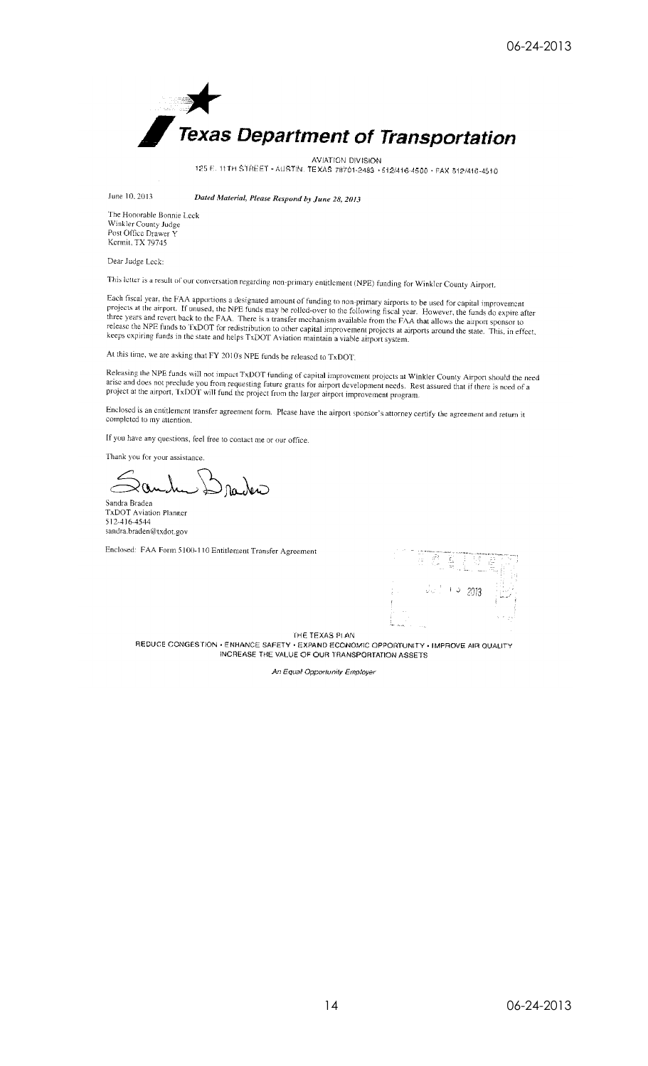

AVIATION DIVISION<br>125 E. 11TH STREET - AUSTIN. TEXAS 78701-2483 - 512/416-4500 - FAX 512/416-4510

June 10, 2013

Dated Material, Please Respond by June 28, 2013

The Honorable Bonnie Leck Winkler County Judge Post Office Drawer Y Kermit, TX 79745

Dear Judge Leck:

This letter is a result of our conversation regarding non-primary entitlement (NPE) funding for Winkler County Airport.

Each fiscal year, the FAA apportions a designated amount of funding to non-primary airports to be used for capital improvement<br>projects at the airport. If unused, the NPE funds may be rolled-over to the following fiscal ye

At this time, we are asking that FY 2010's NPE funds be released to TxDOT.

Releasing the NPE funds will not impact TxDOT funding of capital improvement projects at Winkler County Airport should the need arise and does not preclude you from requesting future grants for airport development needs. R

Enclosed is an entitlement transfer agreement form. Please have the airport sponsor's attorney certify the agreement and return it completed to my attention.

If you have any questions, feel free to contact me or our office.

Thank you for your assistance.

 $0a$ ,  $\lambda$ Sandra Braden

TxDOT Aviation Planner 512-416-4544 sandra.braden@txdot.gov

Enclosed: FAA Form 5100-110 Entitlement Transfer Agreement



THE TEXAS PLAN

REDUCE CONGESTION · ENHANCE SAFETY · EXPAND ECONOMIC OPPORTUNITY · IMPROVE AIR QUALITY INCREASE THE VALUE OF OUR TRANSPORTATION ASSETS

An Equal Opportunity Employer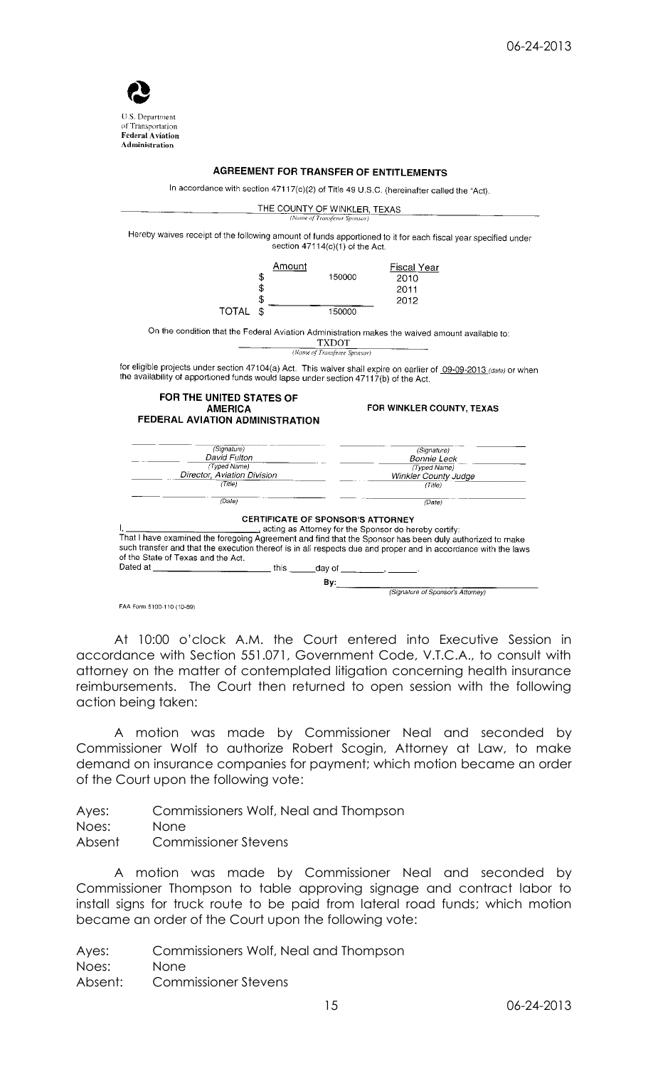

## **AGREEMENT FOR TRANSFER OF ENTITLEMENTS**

In accordance with section 47117(c)(2) of Title 49 U.S.C. (hereinafter called the "Act).



FAA Form 5100-110 (10-89)

At 10:00 o'clock A.M. the Court entered into Executive Session in accordance with Section 551.071, Government Code, V.T.C.A., to consult with attorney on the matter of contemplated litigation concerning health insurance reimbursements. The Court then returned to open session with the following action being taken:

A motion was made by Commissioner Neal and seconded by Commissioner Wolf to authorize Robert Scogin, Attorney at Law, to make demand on insurance companies for payment; which motion became an order of the Court upon the following vote:

| Ayes:  | Commissioners Wolf, Neal and Thompson |
|--------|---------------------------------------|
| Noes:  | None.                                 |
| Absent | <b>Commissioner Stevens</b>           |

A motion was made by Commissioner Neal and seconded by Commissioner Thompson to table approving signage and contract labor to install signs for truck route to be paid from lateral road funds; which motion became an order of the Court upon the following vote: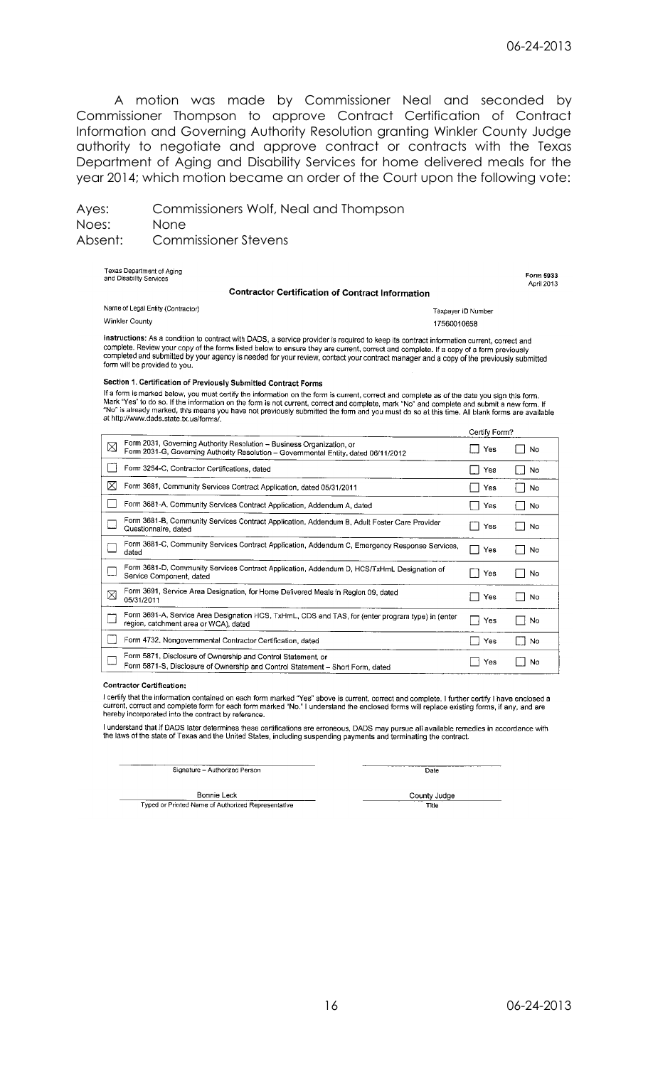A motion was made by Commissioner Neal and seconded by Commissioner Thompson to approve Contract Certification of Contract Information and Governing Authority Resolution granting Winkler County Judge authority to negotiate and approve contract or contracts with the Texas Department of Aging and Disability Services for home delivered meals for the year 2014; which motion became an order of the Court upon the following vote:

Ayes: Commissioners Wolf, Neal and Thompson Noes: None Absent: Commissioner Stevens

| Texas Department of Aging<br>and Disability Services<br><b>Contractor Certification of Contract Information</b> |                    | Form 5933<br>April 2013 |
|-----------------------------------------------------------------------------------------------------------------|--------------------|-------------------------|
| Name of Legal Entity (Contractor)                                                                               | Taxpayer ID Number |                         |

Winkler County

Instructions: As a condition to contract with DADS, a service provider is required to keep its contract information current, correct and maximum contract information to colluded with DADS, a service provider is required to keep its contract information current, correct and<br>complete. Review your copy of the forms listed below to ensure they are current, corr form will be provided to you.

#### Section 1. Certification of Previously Submitted Contract Forms

If a form is marked below, you must certify the information on the form is current, correct and complete as of the date you sign this form.<br>Mark "Yes" to do so. If the information on the form is not current, correct and co

|             |                                                                                                                                                              | Certify Form? |           |
|-------------|--------------------------------------------------------------------------------------------------------------------------------------------------------------|---------------|-----------|
| $\boxtimes$ | Form 2031, Governing Authority Resolution - Business Organization, or<br>Form 2031-G, Governing Authority Resolution - Governmental Entity, dated 06/11/2012 | Yes           | No        |
|             | Form 3254-C, Contractor Certifications, dated                                                                                                                | Yes           | No        |
| ⋉           | Form 3681, Community Services Contract Application, dated 05/31/2011                                                                                         | Yes           | No        |
|             | Form 3681-A, Community Services Contract Application, Addendum A, dated                                                                                      | Yes           | <b>No</b> |
|             | Form 3681-B, Community Services Contract Application, Addendum B, Adult Foster Care Provider<br>Questionnaire, dated                                         | Yes           | No        |
|             | Form 3681-C, Community Services Contract Application, Addendum C, Emergency Response Services,<br>dated                                                      | Yes           | No        |
|             | Form 3681-D, Community Services Contract Application, Addendum D, HCS/TxHmL Designation of<br>Service Component, dated                                       | Yes           | No        |
| ⊠           | Form 3691, Service Area Designation, for Home Delivered Meals in Region 09, dated<br>05/31/2011                                                              | Yes           | No        |
|             | Form 3691-A, Service Area Designation HCS, TxHmL, CDS and TAS, for (enter program type) in (enter<br>region, catchment area or WCA), dated                   | Yes           | No        |
|             | Form 4732, Nongovernmental Contractor Certification, dated                                                                                                   | Yes           | <b>No</b> |
|             | Form 5871, Disclosure of Ownership and Control Statement, or<br>Form 5871-S, Disclosure of Ownership and Control Statement - Short Form, dated               | Yes           | No        |

## **Contractor Certification:**

I certify that the information contained on each form marked "Yes" above is current, correct and complete. I further certify I have enclosed a current, correct and complete form for each form marked "No." I understand the

I understand that if DADS later determines these certifications are erroneous, DADS may pursue all available remedies in accordance with<br>the laws of the state of Texas and the United States, including suspending payments a

Signature - Authorized Person

Date

17560010658

**Bonnie Leck** Typed or Printed Name of Authorized Representative County Judge Title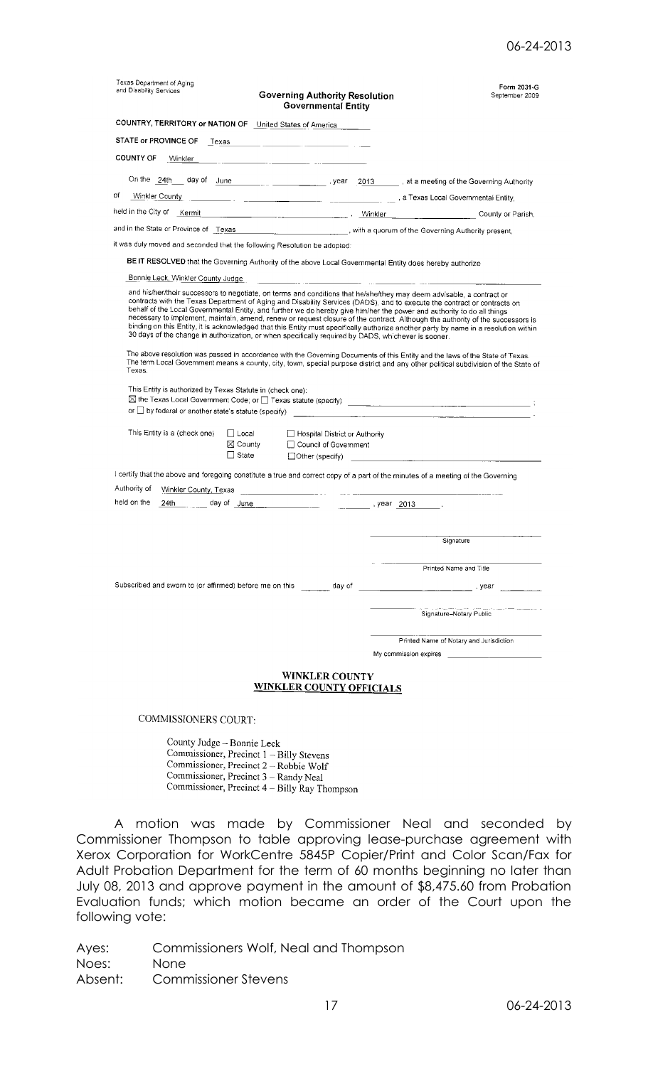| Texas Department of Aging<br>and Disability Services<br><b>Governing Authority Resolution</b><br><b>Governmental Entity</b>                                                                                                                                                                                                                                                                                                                                                         |                                                                                                                      |  | Form 2031-G<br>September 2009                                                                                                                                                                                                                                          |  |
|-------------------------------------------------------------------------------------------------------------------------------------------------------------------------------------------------------------------------------------------------------------------------------------------------------------------------------------------------------------------------------------------------------------------------------------------------------------------------------------|----------------------------------------------------------------------------------------------------------------------|--|------------------------------------------------------------------------------------------------------------------------------------------------------------------------------------------------------------------------------------------------------------------------|--|
| COUNTRY, TERRITORY or NATION OF United States of America                                                                                                                                                                                                                                                                                                                                                                                                                            |                                                                                                                      |  |                                                                                                                                                                                                                                                                        |  |
| STATE or PROVINCE OF<br>Texas                                                                                                                                                                                                                                                                                                                                                                                                                                                       |                                                                                                                      |  |                                                                                                                                                                                                                                                                        |  |
| <b>COUNTY OF</b><br>Winkler                                                                                                                                                                                                                                                                                                                                                                                                                                                         |                                                                                                                      |  |                                                                                                                                                                                                                                                                        |  |
|                                                                                                                                                                                                                                                                                                                                                                                                                                                                                     |                                                                                                                      |  | On the 24th day of June 1994 Contact the Coverning Authority                                                                                                                                                                                                           |  |
| of<br>Winkler County                                                                                                                                                                                                                                                                                                                                                                                                                                                                |                                                                                                                      |  |                                                                                                                                                                                                                                                                        |  |
| held in the City of Kermit Kermit County of Parish,                                                                                                                                                                                                                                                                                                                                                                                                                                 |                                                                                                                      |  |                                                                                                                                                                                                                                                                        |  |
| and in the State or Province of Texas experience of the Governing Authority present,                                                                                                                                                                                                                                                                                                                                                                                                |                                                                                                                      |  |                                                                                                                                                                                                                                                                        |  |
| it was duly moved and seconded that the following Resolution be adopted:                                                                                                                                                                                                                                                                                                                                                                                                            |                                                                                                                      |  |                                                                                                                                                                                                                                                                        |  |
| BE IT RESOLVED that the Governing Authority of the above Local Governmental Entity does hereby authorize                                                                                                                                                                                                                                                                                                                                                                            |                                                                                                                      |  |                                                                                                                                                                                                                                                                        |  |
| Bonnie Leck, Winkler County Judge                                                                                                                                                                                                                                                                                                                                                                                                                                                   | <u> 2000 - 2000 - 2000 - 2000 - 2000 - 2000 - 2000 - 2000 - 2000 - 2000 - 2000 - 2000 - 2000 - 2000 - 2000 - 200</u> |  |                                                                                                                                                                                                                                                                        |  |
| and his/her/their successors to negotiate, on terms and conditions that he/she/they may deem advisable, a contract or<br>contracts with the Texas Department of Aging and Disability Services (DADS), and to execute the contract or contracts on<br>behalf of the Local Governmental Entity, and further we do hereby give him/her the power and authority to do all things<br>30 days of the change in authorization, or when specifically required by DADS, whichever is sooner. |                                                                                                                      |  | necessary to implement, maintain, amend, renew or request closure of the contract. Although the authority of the successors is<br>binding on this Entity, it is acknowledged that this Entity must specifically authorize another party by name in a resolution within |  |
| Texas.                                                                                                                                                                                                                                                                                                                                                                                                                                                                              |                                                                                                                      |  | The above resolution was passed in accordance with the Governing Documents of this Entity and the laws of the State of Texas.<br>The term Local Government means a county, city, town, special purpose district and any other political subdivision of the State of    |  |
| This Entity is authorized by Texas Statute in (check one):<br>or $\square$ by federal or another state's statute (specify)                                                                                                                                                                                                                                                                                                                                                          |                                                                                                                      |  |                                                                                                                                                                                                                                                                        |  |
| This Entity is a (check one)<br>∏ Local<br>Hospital District or Authority<br>$\boxtimes$ County<br>□ Council of Government<br>$\Box$ State<br>$\Box$ Other (specify)                                                                                                                                                                                                                                                                                                                |                                                                                                                      |  |                                                                                                                                                                                                                                                                        |  |
| I certify that the above and foregoing constitute a true and correct copy of a part of the minutes of a meeting of the Governing                                                                                                                                                                                                                                                                                                                                                    |                                                                                                                      |  |                                                                                                                                                                                                                                                                        |  |
| Authority of                                                                                                                                                                                                                                                                                                                                                                                                                                                                        |                                                                                                                      |  |                                                                                                                                                                                                                                                                        |  |
| held on the<br>24th                                                                                                                                                                                                                                                                                                                                                                                                                                                                 |                                                                                                                      |  |                                                                                                                                                                                                                                                                        |  |
|                                                                                                                                                                                                                                                                                                                                                                                                                                                                                     |                                                                                                                      |  |                                                                                                                                                                                                                                                                        |  |
|                                                                                                                                                                                                                                                                                                                                                                                                                                                                                     |                                                                                                                      |  | Signature                                                                                                                                                                                                                                                              |  |
|                                                                                                                                                                                                                                                                                                                                                                                                                                                                                     |                                                                                                                      |  |                                                                                                                                                                                                                                                                        |  |
|                                                                                                                                                                                                                                                                                                                                                                                                                                                                                     |                                                                                                                      |  | Printed Name and Title                                                                                                                                                                                                                                                 |  |
|                                                                                                                                                                                                                                                                                                                                                                                                                                                                                     |                                                                                                                      |  |                                                                                                                                                                                                                                                                        |  |
|                                                                                                                                                                                                                                                                                                                                                                                                                                                                                     |                                                                                                                      |  |                                                                                                                                                                                                                                                                        |  |
|                                                                                                                                                                                                                                                                                                                                                                                                                                                                                     |                                                                                                                      |  | Signature-Notary Public                                                                                                                                                                                                                                                |  |
|                                                                                                                                                                                                                                                                                                                                                                                                                                                                                     |                                                                                                                      |  | Printed Name of Notary and Jurisdiction                                                                                                                                                                                                                                |  |
|                                                                                                                                                                                                                                                                                                                                                                                                                                                                                     |                                                                                                                      |  | My commission expires <b>with the commission expires</b>                                                                                                                                                                                                               |  |
| <b>WINKLER COUNTY</b><br><b>WINKLER COUNTY OFFICIALS</b>                                                                                                                                                                                                                                                                                                                                                                                                                            |                                                                                                                      |  |                                                                                                                                                                                                                                                                        |  |
| <b>COMMISSIONERS COURT:</b>                                                                                                                                                                                                                                                                                                                                                                                                                                                         |                                                                                                                      |  |                                                                                                                                                                                                                                                                        |  |

County Judge - Bonnie Leck Commissioner, Precinct  $1 -$ Billy Stevens Commissioner, Precinct 2 – Robbie Wolf Commissioner, Precinct 2 - Robbic World<br>Commissioner, Precinct 3 – Randy Neal<br>Commissioner, Precinct 4 – Billy Ray Thompson

A motion was made by Commissioner Neal and seconded by Commissioner Thompson to table approving lease-purchase agreement with Xerox Corporation for WorkCentre 5845P Copier/Print and Color Scan/Fax for Adult Probation Department for the term of 60 months beginning no later than July 08, 2013 and approve payment in the amount of \$8,475.60 from Probation Evaluation funds; which motion became an order of the Court upon the following vote: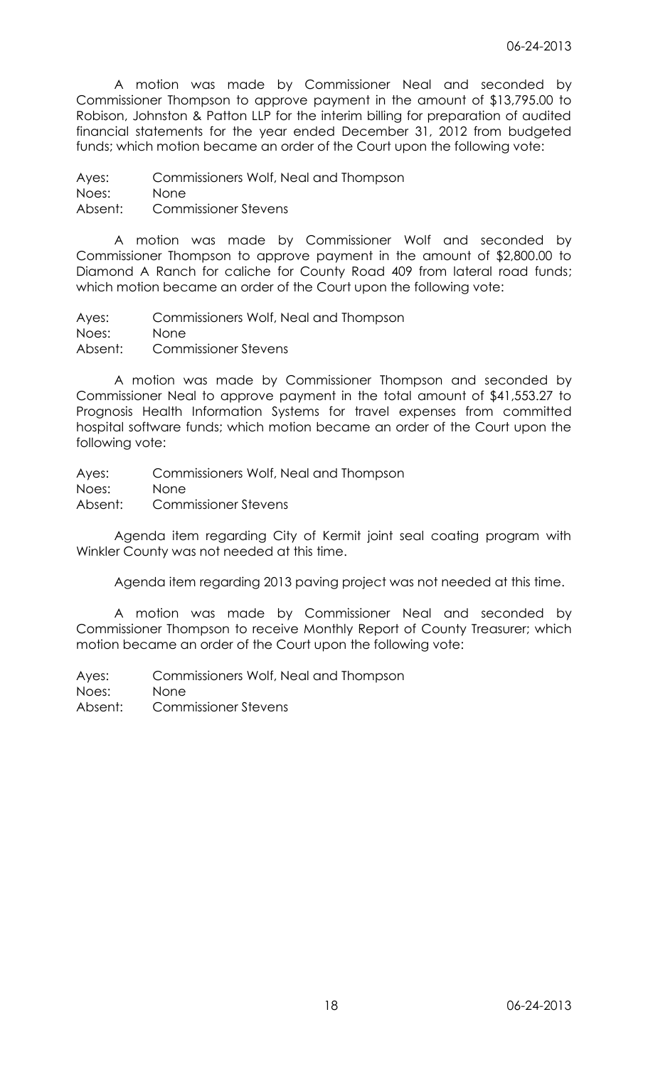A motion was made by Commissioner Neal and seconded by Commissioner Thompson to approve payment in the amount of \$13,795.00 to Robison, Johnston & Patton LLP for the interim billing for preparation of audited financial statements for the year ended December 31, 2012 from budgeted funds; which motion became an order of the Court upon the following vote:

Ayes: Commissioners Wolf, Neal and Thompson Noes: None Absent: Commissioner Stevens

A motion was made by Commissioner Wolf and seconded by Commissioner Thompson to approve payment in the amount of \$2,800.00 to Diamond A Ranch for caliche for County Road 409 from lateral road funds; which motion became an order of the Court upon the following vote:

Ayes: Commissioners Wolf, Neal and Thompson Noes: None Absent: Commissioner Stevens

A motion was made by Commissioner Thompson and seconded by Commissioner Neal to approve payment in the total amount of \$41,553.27 to Prognosis Health Information Systems for travel expenses from committed hospital software funds; which motion became an order of the Court upon the following vote:

Ayes: Commissioners Wolf, Neal and Thompson Noes: None Absent: Commissioner Stevens

Agenda item regarding City of Kermit joint seal coating program with Winkler County was not needed at this time.

Agenda item regarding 2013 paving project was not needed at this time.

A motion was made by Commissioner Neal and seconded by Commissioner Thompson to receive Monthly Report of County Treasurer; which motion became an order of the Court upon the following vote: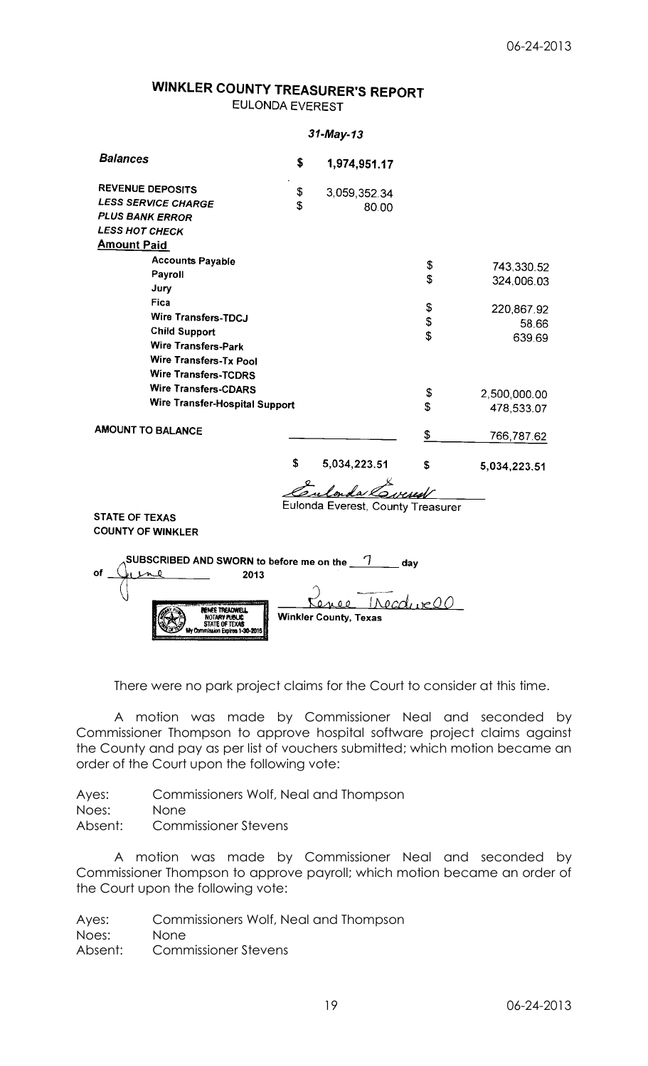# WINKLER COUNTY TREASURER'S REPORT **EULONDA EVEREST**

#### 31-May-13 **Balances** \$ 1,974,951.17 **REVENUE DEPOSITS** \$ 3,059,352.34 **LESS SERVICE CHARGE** \$ 80.00 **PLUS BANK ERROR LESS HOT CHECK Amount Paid Accounts Payable** \$ 743,330.52 Payroll \$ 324,006.03 Jury Fica \$ 220,867.92 Wire Transfers-TDCJ  $\mathbf{s}$ 58.66 **Child Support** \$ 639.69 Wire Transfers-Park Wire Transfers-Tx Pool **Wire Transfers-TCDRS Wire Transfers-CDARS** \$ 2,500,000.00 Wire Transfer-Hospital Support \$ 478,533.07 **AMOUNT TO BALANCE**  $\frac{1}{2}$ 766,787.62 \$ 5,034,223.51 \$ 5,034,223,51 svend Eulonda Everest, County Treasurer **STATE OF TEXAS COUNTY OF WINKLER** SUBSCRIBED AND SWORN to before me on the  $\sqrt{7}$ 2013 0 **RENES TREATMELL Winkler County, Texas** NOTARY PUBLIC<br>STATE OF TEXAS

There were no park project claims for the Court to consider at this time.

A motion was made by Commissioner Neal and seconded by Commissioner Thompson to approve hospital software project claims against the County and pay as per list of vouchers submitted; which motion became an order of the Court upon the following vote:

Ayes: Commissioners Wolf, Neal and Thompson

Noes: None

Absent: Commissioner Stevens

A motion was made by Commissioner Neal and seconded by Commissioner Thompson to approve payroll; which motion became an order of the Court upon the following vote: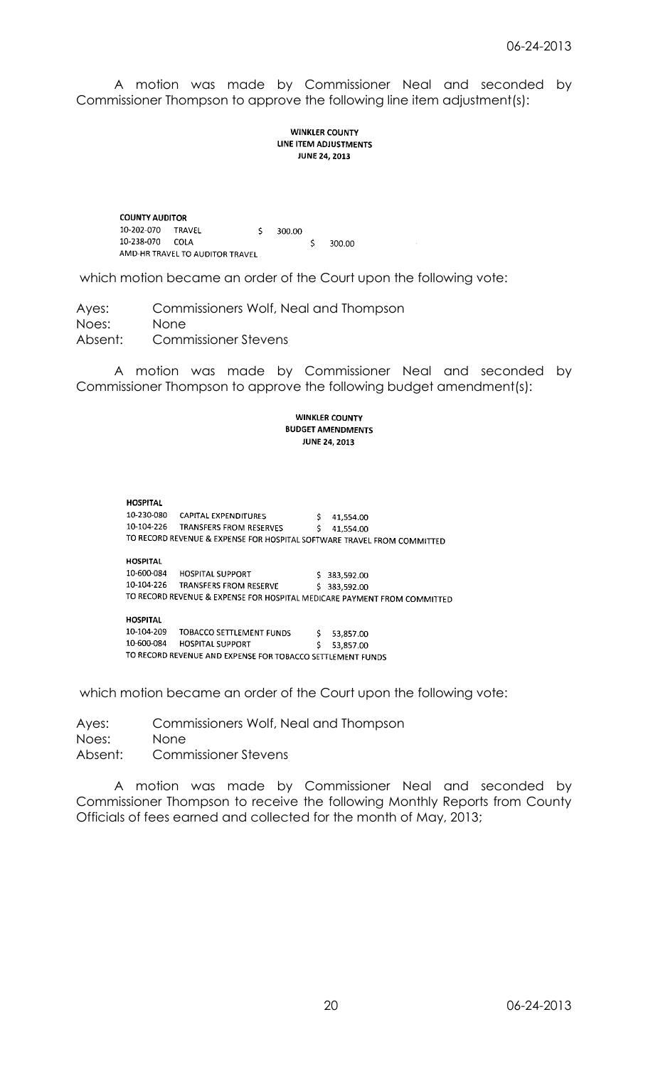A motion was made by Commissioner Neal and seconded by Commissioner Thompson to approve the following line item adjustment(s):

## **WINKLER COUNTY** LINE ITEM ADJUSTMENTS **JUNE 24, 2013**

**COUNTY AUDITOR** 10-202-070 TRAVEL Ś 300.00 10-238-070 COLA  $\mathsf{S}$ 300.00 AMD-HR TRAVEL TO AUDITOR TRAVEL

which motion became an order of the Court upon the following vote:

Ayes: Commissioners Wolf, Neal and Thompson Noes: None Absent: Commissioner Stevens

A motion was made by Commissioner Neal and seconded by Commissioner Thompson to approve the following budget amendment(s):

## **WINKLER COUNTY BUDGET AMENDMENTS JUNE 24, 2013**

**HOSPITAL** 10-230-080 CAPITAL EXPENDITURES<br>10-104-226 TRANSFERS FROM RESERVES  $$41,554.00$  $$41,554.00$ TO RECORD REVENUE & EXPENSE FOR HOSPITAL SOFTWARE TRAVEL FROM COMMITTED **HOSPITAL** 10-600-084 HOSPITAL SUPPORT \$383,592.00 10-104-226 TRANSFERS FROM RESERVE  $$383,592.00$ TO RECORD REVENUE & EXPENSE FOR HOSPITAL MEDICARE PAYMENT FROM COMMITTED **HOSPITAL** 10-104-209 TOBACCO SETTLEMENT FUNDS  $\ddot{\mathsf{S}}$ 53,857.00

10-600-084 HOSPITAL SUPPORT  $\mathsf{S}$ 53.857.00 TO RECORD REVENUE AND EXPENSE FOR TOBACCO SETTLEMENT FUNDS

which motion became an order of the Court upon the following vote:

Ayes: Commissioners Wolf, Neal and Thompson Noes: None Absent: Commissioner Stevens

A motion was made by Commissioner Neal and seconded by Commissioner Thompson to receive the following Monthly Reports from County Officials of fees earned and collected for the month of May, 2013;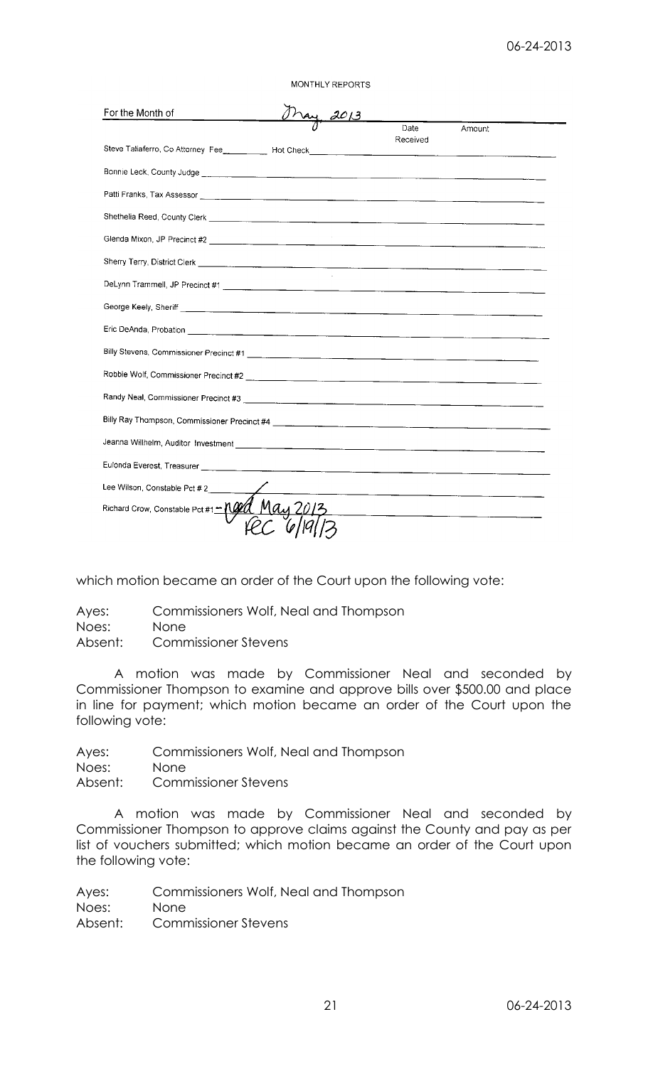MONTHLY REPORTS

| For the Month of                                                                                                                                                                                                                     |  |                  |        |
|--------------------------------------------------------------------------------------------------------------------------------------------------------------------------------------------------------------------------------------|--|------------------|--------|
|                                                                                                                                                                                                                                      |  | Date<br>Received | Amount |
|                                                                                                                                                                                                                                      |  |                  |        |
|                                                                                                                                                                                                                                      |  |                  |        |
|                                                                                                                                                                                                                                      |  |                  |        |
|                                                                                                                                                                                                                                      |  |                  |        |
|                                                                                                                                                                                                                                      |  |                  |        |
| Sherry Terry, District Clerk <u>Conservation and the conservation of the conservation of the conservation of the conservation of the conservation of the conservation of the conservation of the conservation of the conservatio</u> |  |                  |        |
|                                                                                                                                                                                                                                      |  |                  |        |
|                                                                                                                                                                                                                                      |  |                  |        |
|                                                                                                                                                                                                                                      |  |                  |        |
|                                                                                                                                                                                                                                      |  |                  |        |
|                                                                                                                                                                                                                                      |  |                  |        |
|                                                                                                                                                                                                                                      |  |                  |        |
|                                                                                                                                                                                                                                      |  |                  |        |
|                                                                                                                                                                                                                                      |  |                  |        |
|                                                                                                                                                                                                                                      |  |                  |        |
| Lee Wilson, Constable Pct #2                                                                                                                                                                                                         |  |                  |        |
| Richard Crow, Constable Pct #1-1000                                                                                                                                                                                                  |  |                  |        |
|                                                                                                                                                                                                                                      |  |                  |        |

which motion became an order of the Court upon the following vote:

Ayes: Commissioners Wolf, Neal and Thompson Noes: None Absent: Commissioner Stevens

A motion was made by Commissioner Neal and seconded by Commissioner Thompson to examine and approve bills over \$500.00 and place in line for payment; which motion became an order of the Court upon the following vote:

Ayes: Commissioners Wolf, Neal and Thompson Noes: None Absent: Commissioner Stevens

A motion was made by Commissioner Neal and seconded by Commissioner Thompson to approve claims against the County and pay as per list of vouchers submitted; which motion became an order of the Court upon the following vote: